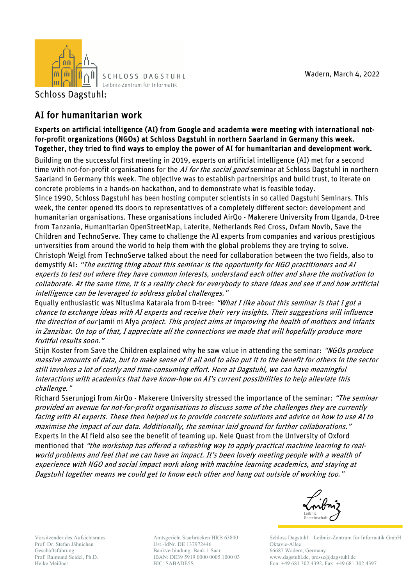

SCHLOSS DAGSTUHL Leibniz-Zentrum für Informatik

Schloss Dagstuhl:

## AI for humanitarian work

## Experts on artificial intelligence (AI) from Google and academia were meeting with international notfor-profit organizations (NGOs) at Schloss Dagstuhl in northern Saarland in Germany this week. Together, they tried to find ways to employ the power of AI for humanitarian and development work.

Building on the successful first meeting in 2019, experts on artificial intelligence (AI) met for a second time with not-for-profit organisations for the *AI for the social good* seminar at Schloss Dagstuhl in northern Saarland in Germany this week. The objective was to establish partnerships and build trust, to iterate on concrete problems in a hands-on hackathon, and to demonstrate what is feasible today.

Since 1990, Schloss Dagstuhl has been hosting computer scientists in so called Dagstuhl Seminars. This week, the center opened its doors to representatives of a completely different sector: development and humanitarian organisations. These organisations included AirQo - Makerere University from Uganda, D-tree from Tanzania, Humanitarian OpenStreetMap, Laterite, Netherlands Red Cross, Oxfam Novib, Save the Children and TechnoServe. They came to challenge the AI experts from companies and various prestigious universities from around the world to help them with the global problems they are trying to solve. Christoph Weigl from TechnoServe talked about the need for collaboration between the two fields, also to demystify AI: "The exciting thing about this seminar is the opportunity for NGO practitioners and AI experts to test out where they have common interests, understand each other and share the motivation to collaborate. At the same time, it is a reality check for everybody to share ideas and see if and how artificial intelligence can be leveraged to address global challenges."

Equally enthusiastic was Nitusima Kataraia from D-tree: "What I like about this seminar is that I got a chance to exchange ideas with AI experts and receive their very insights. Their suggestions will influence the direction of our Jamii ni Afya project. This project aims at improving the health of mothers and infants in Zanzibar. On top of that, I appreciate all the connections we made that will hopefully produce more fruitful results soon."

Stijn Koster from Save the Children explained why he saw value in attending the seminar: "NGOs produce massive amounts of data, but to make sense of it all and to also put it to the benefit for others in the sector still involves a lot of costly and time-consuming effort. Here at Dagstuhl, we can have meaningful interactions with academics that have know-how on AI's current possibilities to help alleviate this challenge."

Richard Sserunjogi from AirQo - Makerere University stressed the importance of the seminar: "The seminar provided an avenue for not-for-profit organisations to discuss some of the challenges they are currently facing with AI experts. These then helped us to provide concrete solutions and advice on how to use AI to maximise the impact of our data. Additionally, the seminar laid ground for further collaborations." Experts in the AI field also see the benefit of teaming up. Nele Quast from the University of Oxford mentioned that "the workshop has offered a refreshing way to apply practical machine learning to realworld problems and feel that we can have an impact. It's been lovely meeting people with a wealth of experience with NGO and social impact work along with machine learning academics, and staying at Dagstuhl together means we could get to know each other and hang out outside of working too."



Vorsitzender des Aufsichtsrates Prof. Dr. Stefan Jähnichen Geschäftsführung: Prof. Raimund Seidel, Ph.D. Heike Meißner

Amtsgericht Saarbrücken HRB 63800 Ust.-IdNr. DE 137972446 Bankverbindung: Bank 1 Saar IBAN: DE39 5919 0000 0005 1000 03 BIC: SABADE5S

Schloss Dagstuhl – Leibniz-Zentrum für Informatik GmbH Oktavie-Allee 66687 Wadern, Germany www.dagstuhl.de, presse@dagstuhl.de Fon: +49 681 302 4392, Fax: +49 681 302 4397